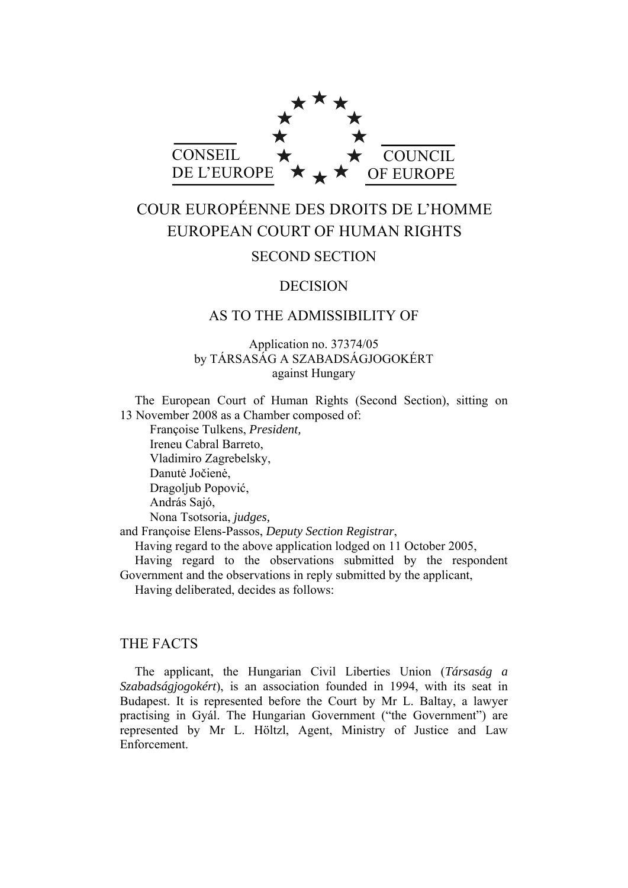

# COUR EUROPÉENNE DES DROITS DE L'HOMME EUROPEAN COURT OF HUMAN RIGHTS

# SECOND SECTION

# DECISION

# AS TO THE ADMISSIBILITY OF

# Application no. 37374/05 by TÁRSASÁG A SZABADSÁGJOGOKÉRT against Hungary

The European Court of Human Rights (Second Section), sitting on 13 November 2008 as a Chamber composed of:

 Françoise Tulkens, *President,*  Ireneu Cabral Barreto, Vladimiro Zagrebelsky, Danutė Jočienė, Dragoljub Popović, András Sajó, Nona Tsotsoria, *judges,*

and Françoise Elens-Passos, *Deputy Section Registrar*,

Having regard to the above application lodged on 11 October 2005,

Having regard to the observations submitted by the respondent Government and the observations in reply submitted by the applicant,

Having deliberated, decides as follows:

# THE FACTS

The applicant, the Hungarian Civil Liberties Union (*Társaság a Szabadságjogokért*), is an association founded in 1994, with its seat in Budapest. It is represented before the Court by Mr L. Baltay, a lawyer practising in Gyál. The Hungarian Government ("the Government") are represented by Mr L. Höltzl, Agent, Ministry of Justice and Law Enforcement.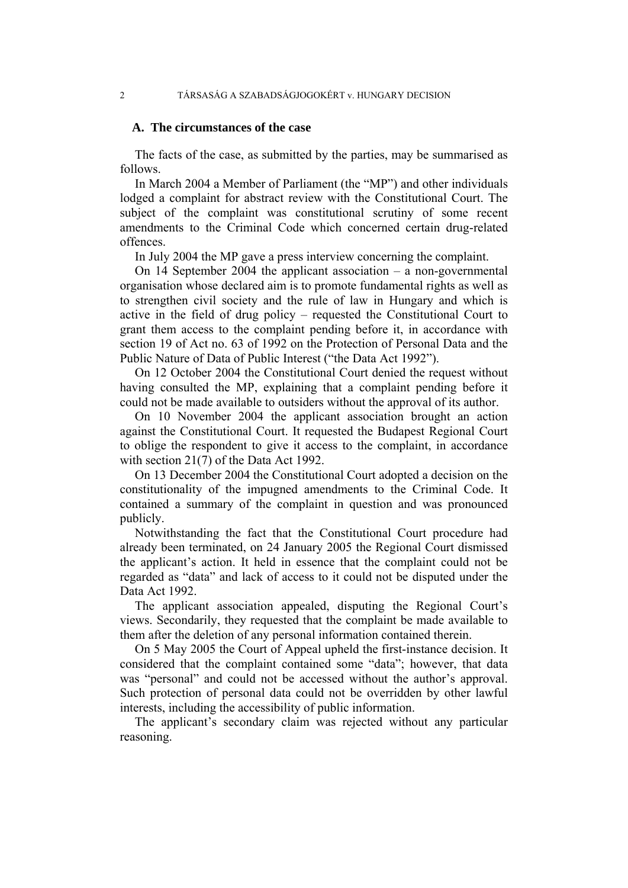## **A. The circumstances of the case**

The facts of the case, as submitted by the parties, may be summarised as follows.

In March 2004 a Member of Parliament (the "MP") and other individuals lodged a complaint for abstract review with the Constitutional Court. The subject of the complaint was constitutional scrutiny of some recent amendments to the Criminal Code which concerned certain drug-related offences.

In July 2004 the MP gave a press interview concerning the complaint.

On 14 September 2004 the applicant association – a non-governmental organisation whose declared aim is to promote fundamental rights as well as to strengthen civil society and the rule of law in Hungary and which is active in the field of drug policy – requested the Constitutional Court to grant them access to the complaint pending before it, in accordance with section 19 of Act no. 63 of 1992 on the Protection of Personal Data and the Public Nature of Data of Public Interest ("the Data Act 1992").

On 12 October 2004 the Constitutional Court denied the request without having consulted the MP, explaining that a complaint pending before it could not be made available to outsiders without the approval of its author.

On 10 November 2004 the applicant association brought an action against the Constitutional Court. It requested the Budapest Regional Court to oblige the respondent to give it access to the complaint, in accordance with section 21(7) of the Data Act 1992.

On 13 December 2004 the Constitutional Court adopted a decision on the constitutionality of the impugned amendments to the Criminal Code. It contained a summary of the complaint in question and was pronounced publicly.

Notwithstanding the fact that the Constitutional Court procedure had already been terminated, on 24 January 2005 the Regional Court dismissed the applicant's action. It held in essence that the complaint could not be regarded as "data" and lack of access to it could not be disputed under the Data Act 1992.

The applicant association appealed, disputing the Regional Court's views. Secondarily, they requested that the complaint be made available to them after the deletion of any personal information contained therein.

On 5 May 2005 the Court of Appeal upheld the first-instance decision. It considered that the complaint contained some "data"; however, that data was "personal" and could not be accessed without the author's approval. Such protection of personal data could not be overridden by other lawful interests, including the accessibility of public information.

The applicant's secondary claim was rejected without any particular reasoning.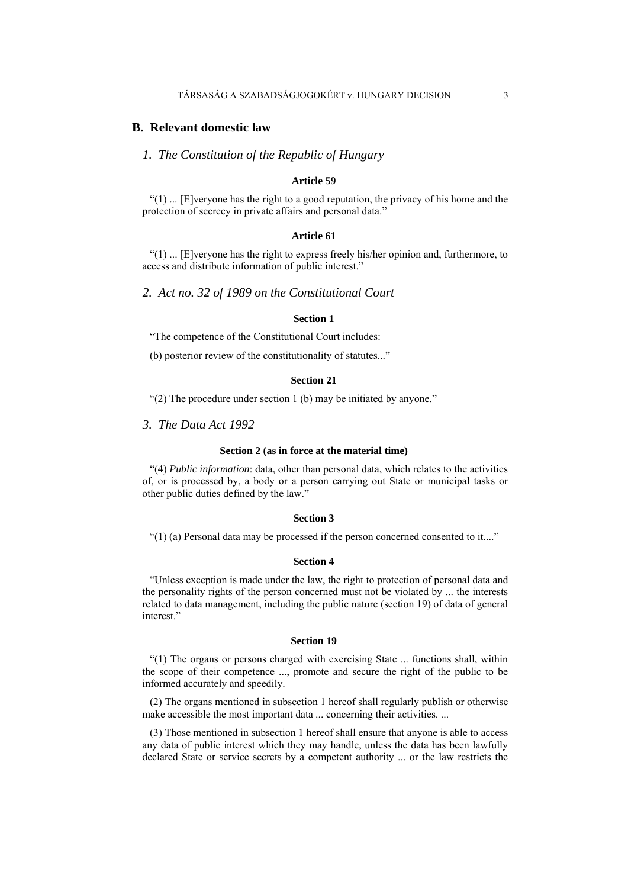### **B. Relevant domestic law**

*1. The Constitution of the Republic of Hungary* 

### **Article 59**

" $(1)$  ... [E]veryone has the right to a good reputation, the privacy of his home and the protection of secrecy in private affairs and personal data."

#### **Article 61**

 $(1)$  ... [E]veryone has the right to express freely his/her opinion and, furthermore, to access and distribute information of public interest."

*2. Act no. 32 of 1989 on the Constitutional Court* 

### **Section 1**

"The competence of the Constitutional Court includes:

(b) posterior review of the constitutionality of statutes..."

### **Section 21**

"(2) The procedure under section 1 (b) may be initiated by anyone."

*3. The Data Act 1992* 

#### **Section 2 (as in force at the material time)**

"(4) *Public information*: data, other than personal data, which relates to the activities of, or is processed by, a body or a person carrying out State or municipal tasks or other public duties defined by the law."

### **Section 3**

"(1) (a) Personal data may be processed if the person concerned consented to it...."

### **Section 4**

"Unless exception is made under the law, the right to protection of personal data and the personality rights of the person concerned must not be violated by ... the interests related to data management, including the public nature (section 19) of data of general interest."

#### **Section 19**

"(1) The organs or persons charged with exercising State ... functions shall, within the scope of their competence ..., promote and secure the right of the public to be informed accurately and speedily.

(2) The organs mentioned in subsection 1 hereof shall regularly publish or otherwise make accessible the most important data ... concerning their activities. ...

(3) Those mentioned in subsection 1 hereof shall ensure that anyone is able to access any data of public interest which they may handle, unless the data has been lawfully declared State or service secrets by a competent authority ... or the law restricts the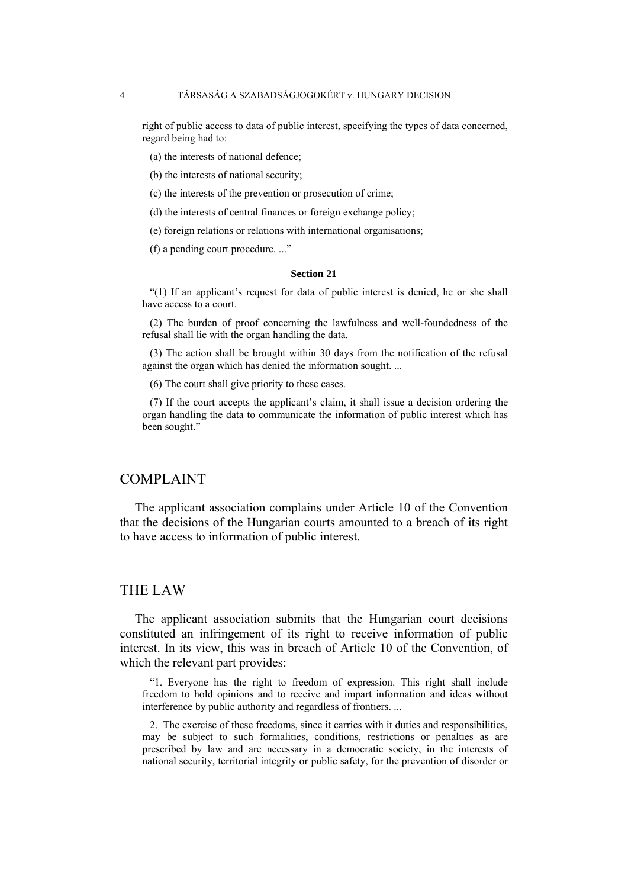right of public access to data of public interest, specifying the types of data concerned, regard being had to:

- (a) the interests of national defence;
- (b) the interests of national security;
- (c) the interests of the prevention or prosecution of crime;
- (d) the interests of central finances or foreign exchange policy;
- (e) foreign relations or relations with international organisations;
- (f) a pending court procedure. ..."

### **Section 21**

"(1) If an applicant's request for data of public interest is denied, he or she shall have access to a court.

(2) The burden of proof concerning the lawfulness and well-foundedness of the refusal shall lie with the organ handling the data.

(3) The action shall be brought within 30 days from the notification of the refusal against the organ which has denied the information sought. ...

(6) The court shall give priority to these cases.

(7) If the court accepts the applicant's claim, it shall issue a decision ordering the organ handling the data to communicate the information of public interest which has been sought."

# COMPLAINT

The applicant association complains under Article 10 of the Convention that the decisions of the Hungarian courts amounted to a breach of its right to have access to information of public interest.

# THE LAW

The applicant association submits that the Hungarian court decisions constituted an infringement of its right to receive information of public interest. In its view, this was in breach of Article 10 of the Convention, of which the relevant part provides:

"1. Everyone has the right to freedom of expression. This right shall include freedom to hold opinions and to receive and impart information and ideas without interference by public authority and regardless of frontiers. ...

2. The exercise of these freedoms, since it carries with it duties and responsibilities, may be subject to such formalities, conditions, restrictions or penalties as are prescribed by law and are necessary in a democratic society, in the interests of national security, territorial integrity or public safety, for the prevention of disorder or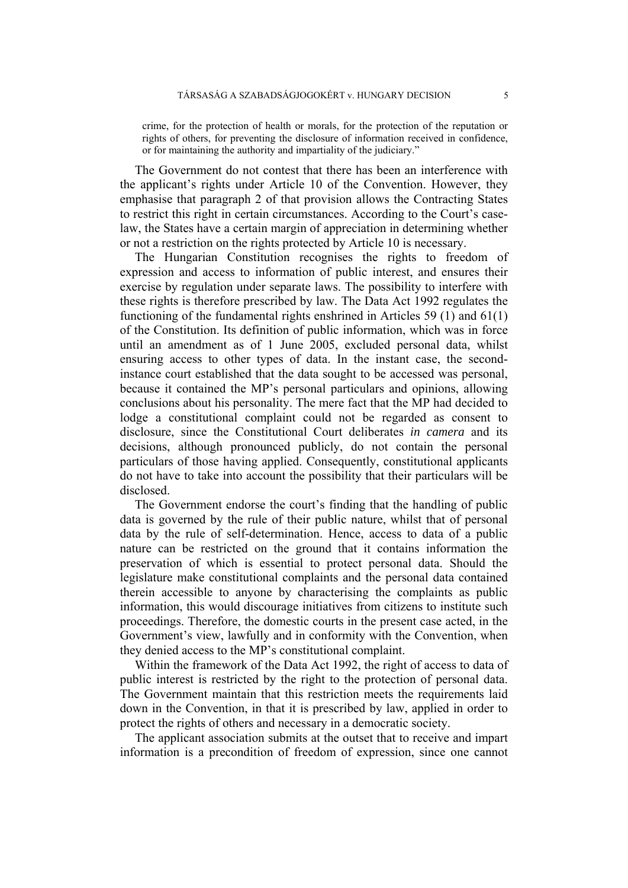crime, for the protection of health or morals, for the protection of the reputation or rights of others, for preventing the disclosure of information received in confidence, or for maintaining the authority and impartiality of the judiciary."

The Government do not contest that there has been an interference with the applicant's rights under Article 10 of the Convention. However, they emphasise that paragraph 2 of that provision allows the Contracting States to restrict this right in certain circumstances. According to the Court's caselaw, the States have a certain margin of appreciation in determining whether or not a restriction on the rights protected by Article 10 is necessary.

The Hungarian Constitution recognises the rights to freedom of expression and access to information of public interest, and ensures their exercise by regulation under separate laws. The possibility to interfere with these rights is therefore prescribed by law. The Data Act 1992 regulates the functioning of the fundamental rights enshrined in Articles 59 (1) and 61(1) of the Constitution. Its definition of public information, which was in force until an amendment as of 1 June 2005, excluded personal data, whilst ensuring access to other types of data. In the instant case, the secondinstance court established that the data sought to be accessed was personal, because it contained the MP's personal particulars and opinions, allowing conclusions about his personality. The mere fact that the MP had decided to lodge a constitutional complaint could not be regarded as consent to disclosure, since the Constitutional Court deliberates *in camera* and its decisions, although pronounced publicly, do not contain the personal particulars of those having applied. Consequently, constitutional applicants do not have to take into account the possibility that their particulars will be disclosed.

The Government endorse the court's finding that the handling of public data is governed by the rule of their public nature, whilst that of personal data by the rule of self-determination. Hence, access to data of a public nature can be restricted on the ground that it contains information the preservation of which is essential to protect personal data. Should the legislature make constitutional complaints and the personal data contained therein accessible to anyone by characterising the complaints as public information, this would discourage initiatives from citizens to institute such proceedings. Therefore, the domestic courts in the present case acted, in the Government's view, lawfully and in conformity with the Convention, when they denied access to the MP's constitutional complaint.

Within the framework of the Data Act 1992, the right of access to data of public interest is restricted by the right to the protection of personal data. The Government maintain that this restriction meets the requirements laid down in the Convention, in that it is prescribed by law, applied in order to protect the rights of others and necessary in a democratic society.

The applicant association submits at the outset that to receive and impart information is a precondition of freedom of expression, since one cannot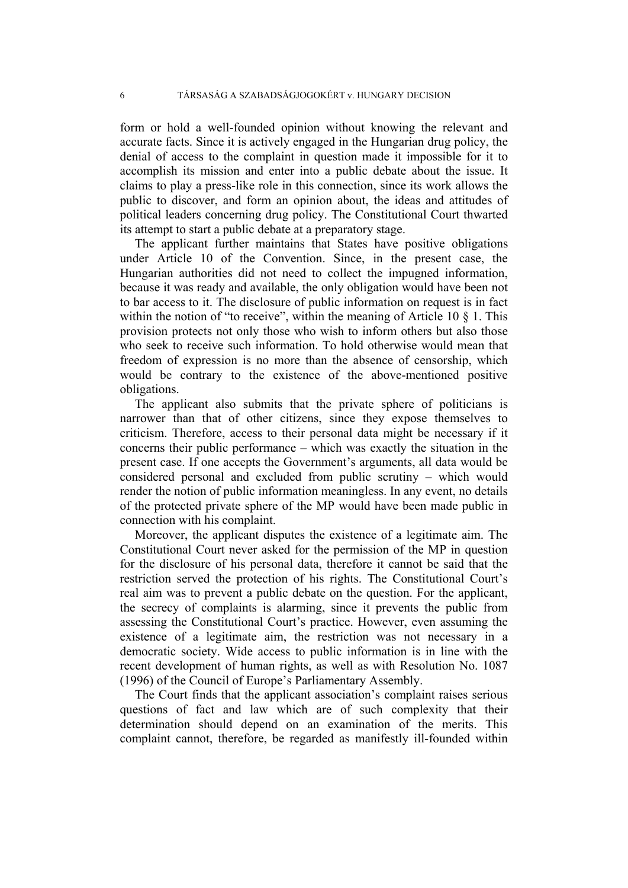form or hold a well-founded opinion without knowing the relevant and accurate facts. Since it is actively engaged in the Hungarian drug policy, the denial of access to the complaint in question made it impossible for it to accomplish its mission and enter into a public debate about the issue. It claims to play a press-like role in this connection, since its work allows the public to discover, and form an opinion about, the ideas and attitudes of political leaders concerning drug policy. The Constitutional Court thwarted its attempt to start a public debate at a preparatory stage.

The applicant further maintains that States have positive obligations under Article 10 of the Convention. Since, in the present case, the Hungarian authorities did not need to collect the impugned information, because it was ready and available, the only obligation would have been not to bar access to it. The disclosure of public information on request is in fact within the notion of "to receive", within the meaning of Article 10  $\S$  1. This provision protects not only those who wish to inform others but also those who seek to receive such information. To hold otherwise would mean that freedom of expression is no more than the absence of censorship, which would be contrary to the existence of the above-mentioned positive obligations.

The applicant also submits that the private sphere of politicians is narrower than that of other citizens, since they expose themselves to criticism. Therefore, access to their personal data might be necessary if it concerns their public performance – which was exactly the situation in the present case. If one accepts the Government's arguments, all data would be considered personal and excluded from public scrutiny – which would render the notion of public information meaningless. In any event, no details of the protected private sphere of the MP would have been made public in connection with his complaint.

Moreover, the applicant disputes the existence of a legitimate aim. The Constitutional Court never asked for the permission of the MP in question for the disclosure of his personal data, therefore it cannot be said that the restriction served the protection of his rights. The Constitutional Court's real aim was to prevent a public debate on the question. For the applicant, the secrecy of complaints is alarming, since it prevents the public from assessing the Constitutional Court's practice. However, even assuming the existence of a legitimate aim, the restriction was not necessary in a democratic society. Wide access to public information is in line with the recent development of human rights, as well as with Resolution No. 1087 (1996) of the Council of Europe's Parliamentary Assembly.

The Court finds that the applicant association's complaint raises serious questions of fact and law which are of such complexity that their determination should depend on an examination of the merits. This complaint cannot, therefore, be regarded as manifestly ill-founded within